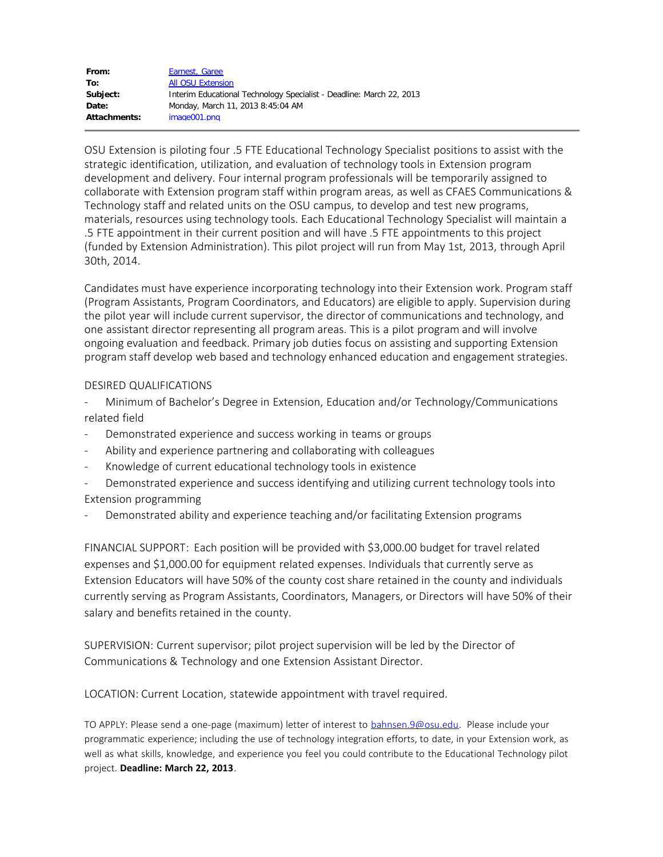| From:               | Earnest, Garee                                                       |
|---------------------|----------------------------------------------------------------------|
| To:                 | <b>All OSU Extension</b>                                             |
| Subject:            | Interim Educational Technology Specialist - Deadline: March 22, 2013 |
| Date:               | Monday, March 11, 2013 8:45:04 AM                                    |
| <b>Attachments:</b> | image001.png                                                         |
|                     |                                                                      |

OSU Extension is piloting four .5 FTE Educational Technology Specialist positions to assist with the strategic identification, utilization, and evaluation of technology tools in Extension program development and delivery. Four internal program professionals will be temporarily assigned to collaborate with Extension program staff within program areas, as well as CFAES Communications & Technology staff and related units on the OSU campus, to develop and test new programs, materials, resources using technology tools. Each Educational Technology Specialist will maintain a .5 FTE appointment in their current position and will have .5 FTE appointments to this project (funded by Extension Administration). This pilot project will run from May 1st, 2013, through April 30th, 2014.

Candidates must have experience incorporating technology into their Extension work. Program staff (Program Assistants, Program Coordinators, and Educators) are eligible to apply. Supervision during the pilot year will include current supervisor, the director of communications and technology, and one assistant director representing all program areas. This is a pilot program and will involve ongoing evaluation and feedback. Primary job duties focus on assisting and supporting Extension program staff develop web based and technology enhanced education and engagement strategies.

## DESIRED QUALIFICATIONS

- Minimum of Bachelor's Degree in Extension, Education and/or Technology/Communications related field

- Demonstrated experience and success working in teams or groups
- Ability and experience partnering and collaborating with colleagues
- Knowledge of current educational technology tools in existence
- Demonstrated experience and success identifying and utilizing current technology tools into Extension programming
- Demonstrated ability and experience teaching and/or facilitating Extension programs

FINANCIAL SUPPORT: Each position will be provided with \$3,000.00 budget for travel related expenses and \$1,000.00 for equipment related expenses. Individuals that currently serve as Extension Educators will have 50% of the county cost share retained in the county and individuals currently serving as Program Assistants, Coordinators, Managers, or Directors will have 50% of their salary and benefits retained in the county.

SUPERVISION: Current supervisor; pilot project supervision will be led by the Director of Communications & Technology and one Extension Assistant Director.

LOCATION: Current Location, statewide appointment with travel required.

TO APPLY: Please send a one-page (maximum) letter of interest to [bahnsen.9@osu.edu.](mailto:bahnsen.9@osu.edu) Please include your programmatic experience; including the use of technology integration efforts, to date, in your Extension work, as well as what skills, knowledge, and experience you feel you could contribute to the Educational Technology pilot project. **Deadline: March 22, 2013**.